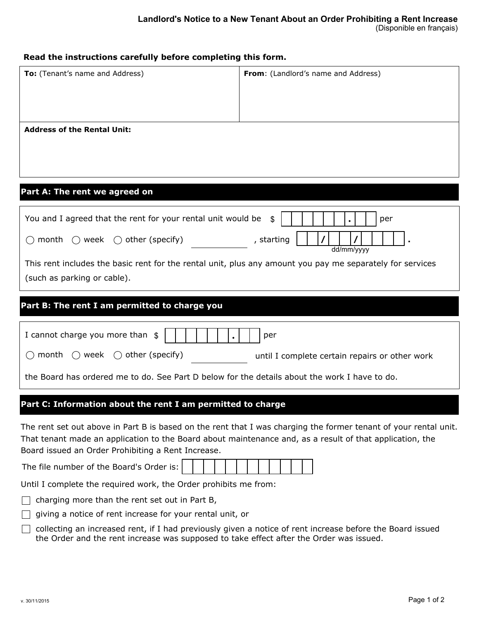| Read the instructions carefully before completing this form.                                                                                                                                                                                                                                                                   |                                     |  |  |
|--------------------------------------------------------------------------------------------------------------------------------------------------------------------------------------------------------------------------------------------------------------------------------------------------------------------------------|-------------------------------------|--|--|
| To: (Tenant's name and Address)                                                                                                                                                                                                                                                                                                | From: (Landlord's name and Address) |  |  |
| <b>Address of the Rental Unit:</b>                                                                                                                                                                                                                                                                                             |                                     |  |  |
| Part A: The rent we agreed on                                                                                                                                                                                                                                                                                                  |                                     |  |  |
| You and I agreed that the rent for your rental unit would be<br>per<br>\$<br>$\bigcirc$ month $\bigcirc$ week $\bigcirc$ other (specify)<br>, starting<br>dd/mm/yyyy<br>This rent includes the basic rent for the rental unit, plus any amount you pay me separately for services<br>(such as parking or cable).               |                                     |  |  |
| Part B: The rent I am permitted to charge you                                                                                                                                                                                                                                                                                  |                                     |  |  |
| I cannot charge you more than \$<br>per<br>$\bigcirc$ month $\bigcirc$ week $\bigcirc$ other (specify)<br>until I complete certain repairs or other work<br>the Board has ordered me to do. See Part D below for the details about the work I have to do.                                                                      |                                     |  |  |
| Part C: Information about the rent I am permitted to charge                                                                                                                                                                                                                                                                    |                                     |  |  |
| The rent set out above in Part B is based on the rent that I was charging the former tenant of your rental unit.<br>That tenant made an application to the Board about maintenance and, as a result of that application, the<br>Board issued an Order Prohibiting a Rent Increase.<br>The file number of the Board's Order is: |                                     |  |  |

Until I complete the required work, the Order prohibits me from:

 $\Box$  charging more than the rent set out in Part B,

- $\Box$  giving a notice of rent increase for your rental unit, or
- □ collecting an increased rent, if I had previously given a notice of rent increase before the Board issued the Order and the rent increase was supposed to take effect after the Order was issued.